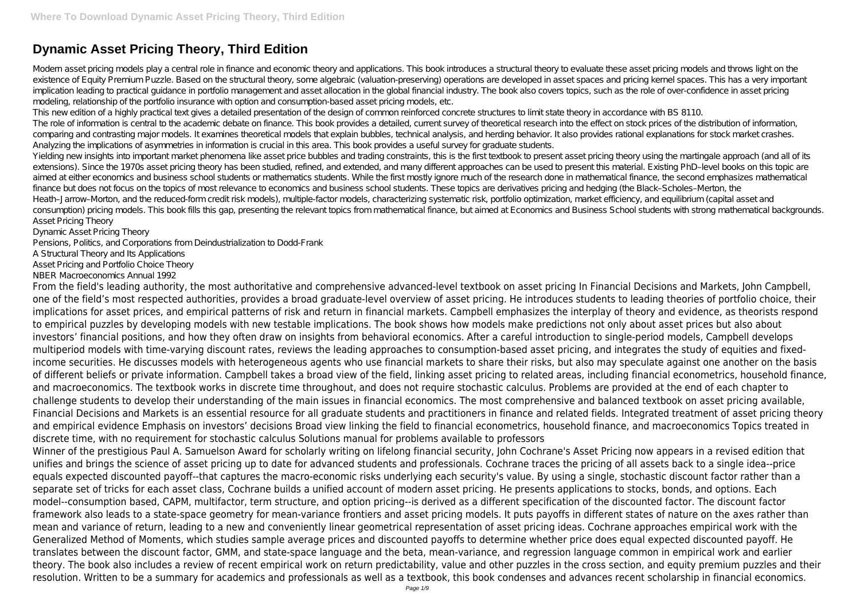# **Dynamic Asset Pricing Theory, Third Edition**

Modern asset pricing models play a central role in finance and economic theory and applications. This book introduces a structural theory to evaluate these asset pricing models and throws light on the existence of Equity Premium Puzzle. Based on the structural theory, some algebraic (valuation-preserving) operations are developed in asset spaces and pricing kernel spaces. This has a very important implication leading to practical guidance in portfolio management and asset allocation in the global financial industry. The book also covers topics, such as the role of over-confidence in asset pricing modeling, relationship of the portfolio insurance with option and consumption-based asset pricing models, etc.

This new edition of a highly practical text gives a detailed presentation of the design of common reinforced concrete structures to limit state theory in accordance with BS 8110. The role of information is central to the academic debate on finance. This book provides a detailed, current survey of theoretical research into the effect on stock prices of the distribution of information, comparing and contrasting major models. It examines theoretical models that explain bubbles, technical analysis, and herding behavior. It also provides rational explanations for stock market crashes. Analyzing the implications of asymmetries in information is crucial in this area. This book provides a useful survey for graduate students.

Yielding new insights into important market phenomena like asset price bubbles and trading constraints, this is the first textbook to present asset pricing theory using the martingale approach (and all of its extensions). Since the 1970s asset pricing theory has been studied, refined, and extended, and many different approaches can be used to present this material. Existing PhD–level books on this topic are aimed at either economics and business school students or mathematics students. While the first mostly ignore much of the research done in mathematical finance, the second emphasizes mathematical finance but does not focus on the topics of most relevance to economics and business school students. These topics are derivatives pricing and hedging (the Black–Scholes–Merton, the Heath–Jarrow–Morton, and the reduced-form credit risk models), multiple-factor models, characterizing systematic risk, portfolio optimization, market efficiency, and equilibrium (capital asset and consumption) pricing models. This book fills this gap, presenting the relevant topics from mathematical finance, but aimed at Economics and Business School students with strong mathematical backgrounds. Asset Pricing Theory

Dynamic Asset Pricing Theory

Pensions, Politics, and Corporations from Deindustrialization to Dodd-Frank

A Structural Theory and Its Applications

Asset Pricing and Portfolio Choice Theory

NBER Macroeconomics Annual 1992

From the field's leading authority, the most authoritative and comprehensive advanced-level textbook on asset pricing In Financial Decisions and Markets, John Campbell, one of the field's most respected authorities, provides a broad graduate-level overview of asset pricing. He introduces students to leading theories of portfolio choice, their implications for asset prices, and empirical patterns of risk and return in financial markets. Campbell emphasizes the interplay of theory and evidence, as theorists respond to empirical puzzles by developing models with new testable implications. The book shows how models make predictions not only about asset prices but also about investors' financial positions, and how they often draw on insights from behavioral economics. After a careful introduction to single-period models, Campbell develops multiperiod models with time-varying discount rates, reviews the leading approaches to consumption-based asset pricing, and integrates the study of equities and fixedincome securities. He discusses models with heterogeneous agents who use financial markets to share their risks, but also may speculate against one another on the basis of different beliefs or private information. Campbell takes a broad view of the field, linking asset pricing to related areas, including financial econometrics, household finance, and macroeconomics. The textbook works in discrete time throughout, and does not require stochastic calculus. Problems are provided at the end of each chapter to challenge students to develop their understanding of the main issues in financial economics. The most comprehensive and balanced textbook on asset pricing available, Financial Decisions and Markets is an essential resource for all graduate students and practitioners in finance and related fields. Integrated treatment of asset pricing theory and empirical evidence Emphasis on investors' decisions Broad view linking the field to financial econometrics, household finance, and macroeconomics Topics treated in discrete time, with no requirement for stochastic calculus Solutions manual for problems available to professors

Winner of the prestigious Paul A. Samuelson Award for scholarly writing on lifelong financial security, John Cochrane's Asset Pricing now appears in a revised edition that unifies and brings the science of asset pricing up to date for advanced students and professionals. Cochrane traces the pricing of all assets back to a single idea--price equals expected discounted payoff--that captures the macro-economic risks underlying each security's value. By using a single, stochastic discount factor rather than a separate set of tricks for each asset class, Cochrane builds a unified account of modern asset pricing. He presents applications to stocks, bonds, and options. Each model--consumption based, CAPM, multifactor, term structure, and option pricing--is derived as a different specification of the discounted factor. The discount factor framework also leads to a state-space geometry for mean-variance frontiers and asset pricing models. It puts payoffs in different states of nature on the axes rather than mean and variance of return, leading to a new and conveniently linear geometrical representation of asset pricing ideas. Cochrane approaches empirical work with the Generalized Method of Moments, which studies sample average prices and discounted payoffs to determine whether price does equal expected discounted payoff. He translates between the discount factor, GMM, and state-space language and the beta, mean-variance, and regression language common in empirical work and earlier theory. The book also includes a review of recent empirical work on return predictability, value and other puzzles in the cross section, and equity premium puzzles and their resolution. Written to be a summary for academics and professionals as well as a textbook, this book condenses and advances recent scholarship in financial economics.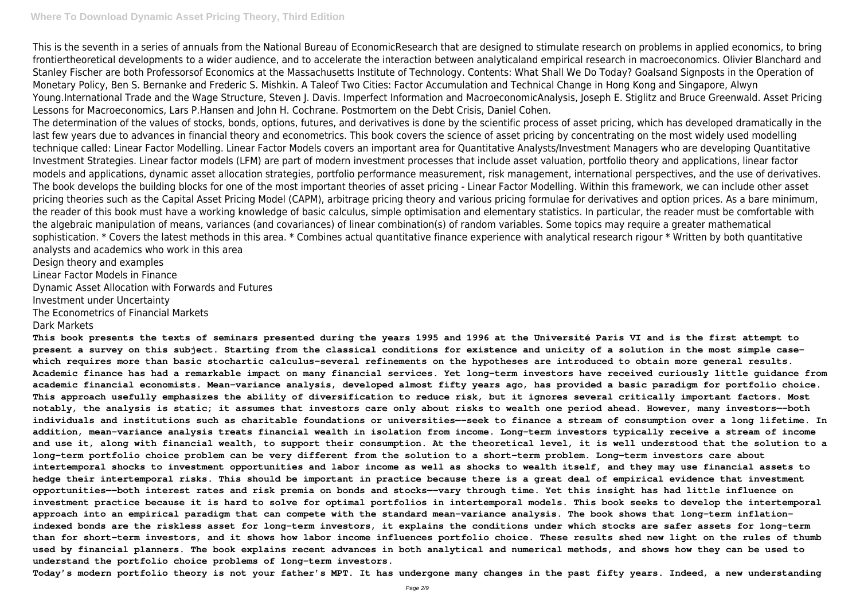This is the seventh in a series of annuals from the National Bureau of EconomicResearch that are designed to stimulate research on problems in applied economics, to bring frontiertheoretical developments to a wider audience, and to accelerate the interaction between analyticaland empirical research in macroeconomics. Olivier Blanchard and Stanley Fischer are both Professorsof Economics at the Massachusetts Institute of Technology. Contents: What Shall We Do Today? Goalsand Signposts in the Operation of Monetary Policy, Ben S. Bernanke and Frederic S. Mishkin. A Taleof Two Cities: Factor Accumulation and Technical Change in Hong Kong and Singapore, Alwyn Young.International Trade and the Wage Structure, Steven J. Davis. Imperfect Information and MacroeconomicAnalysis, Joseph E. Stiglitz and Bruce Greenwald. Asset Pricing Lessons for Macroeconomics, Lars P.Hansen and John H. Cochrane. Postmortem on the Debt Crisis, Daniel Cohen.

The determination of the values of stocks, bonds, options, futures, and derivatives is done by the scientific process of asset pricing, which has developed dramatically in the last few years due to advances in financial theory and econometrics. This book covers the science of asset pricing by concentrating on the most widely used modelling technique called: Linear Factor Modelling. Linear Factor Models covers an important area for Quantitative Analysts/Investment Managers who are developing Quantitative Investment Strategies. Linear factor models (LFM) are part of modern investment processes that include asset valuation, portfolio theory and applications, linear factor models and applications, dynamic asset allocation strategies, portfolio performance measurement, risk management, international perspectives, and the use of derivatives. The book develops the building blocks for one of the most important theories of asset pricing - Linear Factor Modelling. Within this framework, we can include other asset pricing theories such as the Capital Asset Pricing Model (CAPM), arbitrage pricing theory and various pricing formulae for derivatives and option prices. As a bare minimum, the reader of this book must have a working knowledge of basic calculus, simple optimisation and elementary statistics. In particular, the reader must be comfortable with the algebraic manipulation of means, variances (and covariances) of linear combination(s) of random variables. Some topics may require a greater mathematical sophistication. \* Covers the latest methods in this area. \* Combines actual quantitative finance experience with analytical research rigour \* Written by both quantitative analysts and academics who work in this area

Design theory and examples

Linear Factor Models in Finance

Dynamic Asset Allocation with Forwards and Futures

Investment under Uncertainty

The Econometrics of Financial Markets

Dark Markets

**This book presents the texts of seminars presented during the years 1995 and 1996 at the Université Paris VI and is the first attempt to present a survey on this subject. Starting from the classical conditions for existence and unicity of a solution in the most simple casewhich requires more than basic stochartic calculus-several refinements on the hypotheses are introduced to obtain more general results. Academic finance has had a remarkable impact on many financial services. Yet long-term investors have received curiously little guidance from academic financial economists. Mean-variance analysis, developed almost fifty years ago, has provided a basic paradigm for portfolio choice. This approach usefully emphasizes the ability of diversification to reduce risk, but it ignores several critically important factors. Most notably, the analysis is static; it assumes that investors care only about risks to wealth one period ahead. However, many investors—-both individuals and institutions such as charitable foundations or universities—-seek to finance a stream of consumption over a long lifetime. In addition, mean-variance analysis treats financial wealth in isolation from income. Long-term investors typically receive a stream of income and use it, along with financial wealth, to support their consumption. At the theoretical level, it is well understood that the solution to a long-term portfolio choice problem can be very different from the solution to a short-term problem. Long-term investors care about intertemporal shocks to investment opportunities and labor income as well as shocks to wealth itself, and they may use financial assets to hedge their intertemporal risks. This should be important in practice because there is a great deal of empirical evidence that investment opportunities—-both interest rates and risk premia on bonds and stocks—-vary through time. Yet this insight has had little influence on investment practice because it is hard to solve for optimal portfolios in intertemporal models. This book seeks to develop the intertemporal approach into an empirical paradigm that can compete with the standard mean-variance analysis. The book shows that long-term inflationindexed bonds are the riskless asset for long-term investors, it explains the conditions under which stocks are safer assets for long-term than for short-term investors, and it shows how labor income influences portfolio choice. These results shed new light on the rules of thumb used by financial planners. The book explains recent advances in both analytical and numerical methods, and shows how they can be used to understand the portfolio choice problems of long-term investors.**

**Today's modern portfolio theory is not your father's MPT. It has undergone many changes in the past fifty years. Indeed, a new understanding**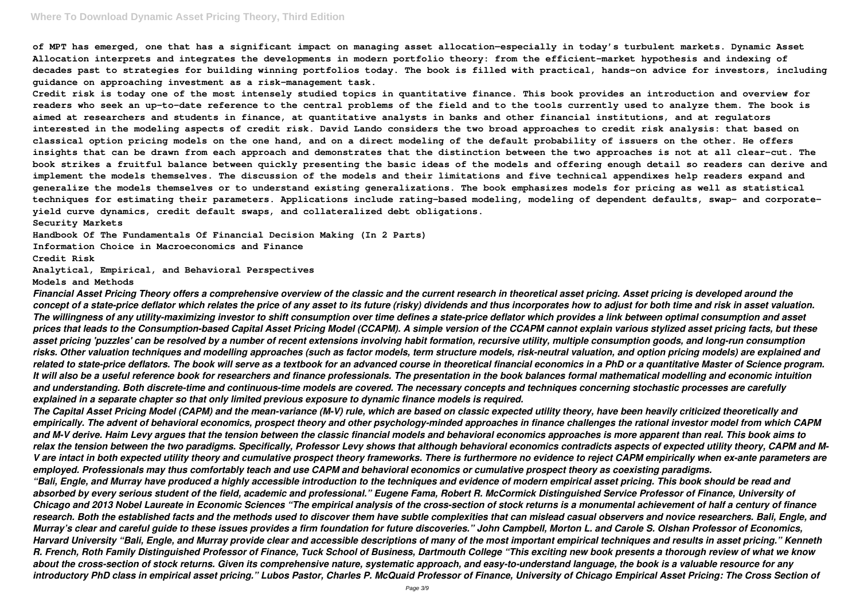## **Where To Download Dynamic Asset Pricing Theory, Third Edition**

**of MPT has emerged, one that has a significant impact on managing asset allocation—especially in today's turbulent markets. Dynamic Asset Allocation interprets and integrates the developments in modern portfolio theory: from the efficient-market hypothesis and indexing of decades past to strategies for building winning portfolios today. The book is filled with practical, hands-on advice for investors, including guidance on approaching investment as a risk-management task.**

**Credit risk is today one of the most intensely studied topics in quantitative finance. This book provides an introduction and overview for readers who seek an up-to-date reference to the central problems of the field and to the tools currently used to analyze them. The book is aimed at researchers and students in finance, at quantitative analysts in banks and other financial institutions, and at regulators interested in the modeling aspects of credit risk. David Lando considers the two broad approaches to credit risk analysis: that based on classical option pricing models on the one hand, and on a direct modeling of the default probability of issuers on the other. He offers insights that can be drawn from each approach and demonstrates that the distinction between the two approaches is not at all clear-cut. The book strikes a fruitful balance between quickly presenting the basic ideas of the models and offering enough detail so readers can derive and implement the models themselves. The discussion of the models and their limitations and five technical appendixes help readers expand and generalize the models themselves or to understand existing generalizations. The book emphasizes models for pricing as well as statistical techniques for estimating their parameters. Applications include rating-based modeling, modeling of dependent defaults, swap- and corporateyield curve dynamics, credit default swaps, and collateralized debt obligations.**

**Security Markets**

**Handbook Of The Fundamentals Of Financial Decision Making (In 2 Parts)**

**Information Choice in Macroeconomics and Finance**

**Credit Risk**

**Analytical, Empirical, and Behavioral Perspectives**

**Models and Methods**

*Financial Asset Pricing Theory offers a comprehensive overview of the classic and the current research in theoretical asset pricing. Asset pricing is developed around the concept of a state-price deflator which relates the price of any asset to its future (risky) dividends and thus incorporates how to adjust for both time and risk in asset valuation. The willingness of any utility-maximizing investor to shift consumption over time defines a state-price deflator which provides a link between optimal consumption and asset prices that leads to the Consumption-based Capital Asset Pricing Model (CCAPM). A simple version of the CCAPM cannot explain various stylized asset pricing facts, but these asset pricing 'puzzles' can be resolved by a number of recent extensions involving habit formation, recursive utility, multiple consumption goods, and long-run consumption risks. Other valuation techniques and modelling approaches (such as factor models, term structure models, risk-neutral valuation, and option pricing models) are explained and related to state-price deflators. The book will serve as a textbook for an advanced course in theoretical financial economics in a PhD or a quantitative Master of Science program. It will also be a useful reference book for researchers and finance professionals. The presentation in the book balances formal mathematical modelling and economic intuition and understanding. Both discrete-time and continuous-time models are covered. The necessary concepts and techniques concerning stochastic processes are carefully explained in a separate chapter so that only limited previous exposure to dynamic finance models is required.*

*The Capital Asset Pricing Model (CAPM) and the mean-variance (M-V) rule, which are based on classic expected utility theory, have been heavily criticized theoretically and empirically. The advent of behavioral economics, prospect theory and other psychology-minded approaches in finance challenges the rational investor model from which CAPM and M-V derive. Haim Levy argues that the tension between the classic financial models and behavioral economics approaches is more apparent than real. This book aims to relax the tension between the two paradigms. Specifically, Professor Levy shows that although behavioral economics contradicts aspects of expected utility theory, CAPM and M-V are intact in both expected utility theory and cumulative prospect theory frameworks. There is furthermore no evidence to reject CAPM empirically when ex-ante parameters are employed. Professionals may thus comfortably teach and use CAPM and behavioral economics or cumulative prospect theory as coexisting paradigms. "Bali, Engle, and Murray have produced a highly accessible introduction to the techniques and evidence of modern empirical asset pricing. This book should be read and absorbed by every serious student of the field, academic and professional." Eugene Fama, Robert R. McCormick Distinguished Service Professor of Finance, University of Chicago and 2013 Nobel Laureate in Economic Sciences "The empirical analysis of the cross-section of stock returns is a monumental achievement of half a century of finance research. Both the established facts and the methods used to discover them have subtle complexities that can mislead casual observers and novice researchers. Bali, Engle, and Murray's clear and careful guide to these issues provides a firm foundation for future discoveries." John Campbell, Morton L. and Carole S. Olshan Professor of Economics, Harvard University "Bali, Engle, and Murray provide clear and accessible descriptions of many of the most important empirical techniques and results in asset pricing." Kenneth R. French, Roth Family Distinguished Professor of Finance, Tuck School of Business, Dartmouth College "This exciting new book presents a thorough review of what we know about the cross-section of stock returns. Given its comprehensive nature, systematic approach, and easy-to-understand language, the book is a valuable resource for any introductory PhD class in empirical asset pricing." Lubos Pastor, Charles P. McQuaid Professor of Finance, University of Chicago Empirical Asset Pricing: The Cross Section of*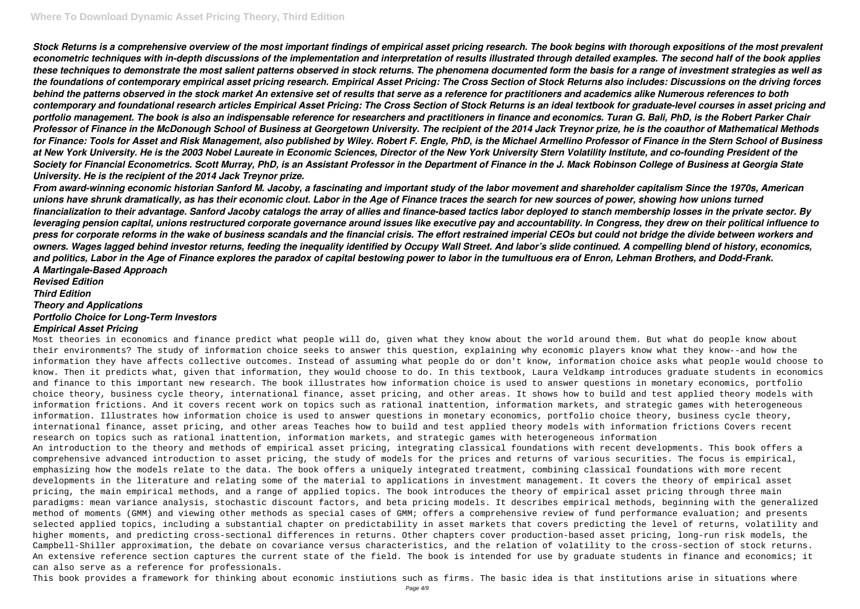*Stock Returns is a comprehensive overview of the most important findings of empirical asset pricing research. The book begins with thorough expositions of the most prevalent econometric techniques with in-depth discussions of the implementation and interpretation of results illustrated through detailed examples. The second half of the book applies these techniques to demonstrate the most salient patterns observed in stock returns. The phenomena documented form the basis for a range of investment strategies as well as the foundations of contemporary empirical asset pricing research. Empirical Asset Pricing: The Cross Section of Stock Returns also includes: Discussions on the driving forces behind the patterns observed in the stock market An extensive set of results that serve as a reference for practitioners and academics alike Numerous references to both contemporary and foundational research articles Empirical Asset Pricing: The Cross Section of Stock Returns is an ideal textbook for graduate-level courses in asset pricing and portfolio management. The book is also an indispensable reference for researchers and practitioners in finance and economics. Turan G. Bali, PhD, is the Robert Parker Chair Professor of Finance in the McDonough School of Business at Georgetown University. The recipient of the 2014 Jack Treynor prize, he is the coauthor of Mathematical Methods for Finance: Tools for Asset and Risk Management, also published by Wiley. Robert F. Engle, PhD, is the Michael Armellino Professor of Finance in the Stern School of Business at New York University. He is the 2003 Nobel Laureate in Economic Sciences, Director of the New York University Stern Volatility Institute, and co-founding President of the Society for Financial Econometrics. Scott Murray, PhD, is an Assistant Professor in the Department of Finance in the J. Mack Robinson College of Business at Georgia State University. He is the recipient of the 2014 Jack Treynor prize.*

*From award-winning economic historian Sanford M. Jacoby, a fascinating and important study of the labor movement and shareholder capitalism Since the 1970s, American unions have shrunk dramatically, as has their economic clout. Labor in the Age of Finance traces the search for new sources of power, showing how unions turned financialization to their advantage. Sanford Jacoby catalogs the array of allies and finance-based tactics labor deployed to stanch membership losses in the private sector. By leveraging pension capital, unions restructured corporate governance around issues like executive pay and accountability. In Congress, they drew on their political influence to press for corporate reforms in the wake of business scandals and the financial crisis. The effort restrained imperial CEOs but could not bridge the divide between workers and owners. Wages lagged behind investor returns, feeding the inequality identified by Occupy Wall Street. And labor's slide continued. A compelling blend of history, economics, and politics, Labor in the Age of Finance explores the paradox of capital bestowing power to labor in the tumultuous era of Enron, Lehman Brothers, and Dodd-Frank. A Martingale-Based Approach*

*Revised Edition Third Edition Theory and Applications Portfolio Choice for Long-Term Investors Empirical Asset Pricing*

Most theories in economics and finance predict what people will do, given what they know about the world around them. But what do people know about their environments? The study of information choice seeks to answer this question, explaining why economic players know what they know--and how the information they have affects collective outcomes. Instead of assuming what people do or don't know, information choice asks what people would choose to know. Then it predicts what, given that information, they would choose to do. In this textbook, Laura Veldkamp introduces graduate students in economics and finance to this important new research. The book illustrates how information choice is used to answer questions in monetary economics, portfolio choice theory, business cycle theory, international finance, asset pricing, and other areas. It shows how to build and test applied theory models with information frictions. And it covers recent work on topics such as rational inattention, information markets, and strategic games with heterogeneous information. Illustrates how information choice is used to answer questions in monetary economics, portfolio choice theory, business cycle theory, international finance, asset pricing, and other areas Teaches how to build and test applied theory models with information frictions Covers recent research on topics such as rational inattention, information markets, and strategic games with heterogeneous information An introduction to the theory and methods of empirical asset pricing, integrating classical foundations with recent developments. This book offers a comprehensive advanced introduction to asset pricing, the study of models for the prices and returns of various securities. The focus is empirical, emphasizing how the models relate to the data. The book offers a uniquely integrated treatment, combining classical foundations with more recent developments in the literature and relating some of the material to applications in investment management. It covers the theory of empirical asset pricing, the main empirical methods, and a range of applied topics. The book introduces the theory of empirical asset pricing through three main paradigms: mean variance analysis, stochastic discount factors, and beta pricing models. It describes empirical methods, beginning with the generalized method of moments (GMM) and viewing other methods as special cases of GMM; offers a comprehensive review of fund performance evaluation; and presents selected applied topics, including a substantial chapter on predictability in asset markets that covers predicting the level of returns, volatility and higher moments, and predicting cross-sectional differences in returns. Other chapters cover production-based asset pricing, long-run risk models, the Campbell-Shiller approximation, the debate on covariance versus characteristics, and the relation of volatility to the cross-section of stock returns. An extensive reference section captures the current state of the field. The book is intended for use by graduate students in finance and economics; it can also serve as a reference for professionals.

This book provides a framework for thinking about economic instiutions such as firms. The basic idea is that institutions arise in situations where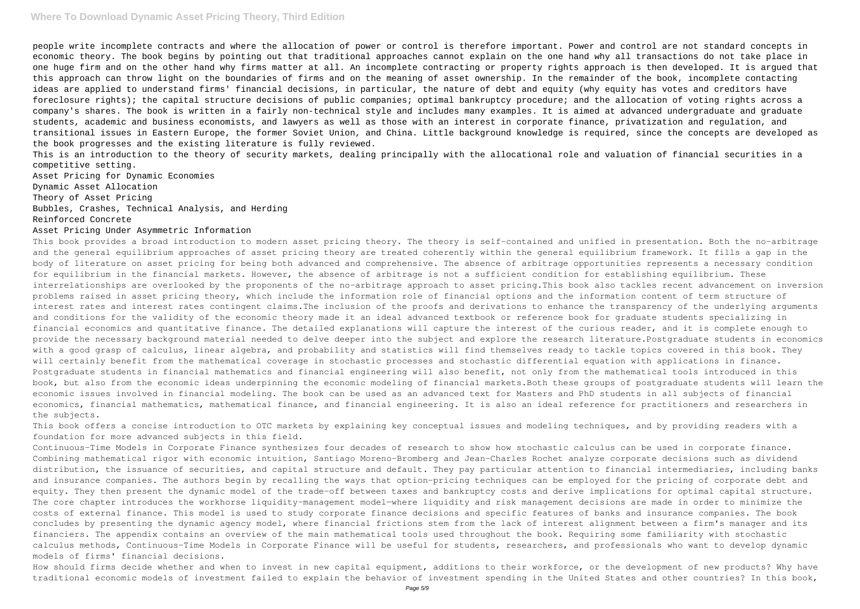people write incomplete contracts and where the allocation of power or control is therefore important. Power and control are not standard concepts in economic theory. The book begins by pointing out that traditional approaches cannot explain on the one hand why all transactions do not take place in one huge firm and on the other hand why firms matter at all. An incomplete contracting or property rights approach is then developed. It is argued that this approach can throw light on the boundaries of firms and on the meaning of asset ownership. In the remainder of the book, incomplete contacting ideas are applied to understand firms' financial decisions, in particular, the nature of debt and equity (why equity has votes and creditors have foreclosure rights); the capital structure decisions of public companies; optimal bankruptcy procedure; and the allocation of voting rights across a company's shares. The book is written in a fairly non-technical style and includes many examples. It is aimed at advanced undergraduate and graduate students, academic and business economists, and lawyers as well as those with an interest in corporate finance, privatization and regulation, and transitional issues in Eastern Europe, the former Soviet Union, and China. Little background knowledge is required, since the concepts are developed as the book progresses and the existing literature is fully reviewed.

This is an introduction to the theory of security markets, dealing principally with the allocational role and valuation of financial securities in a competitive setting.

Asset Pricing for Dynamic Economies

Dynamic Asset Allocation

Theory of Asset Pricing

Bubbles, Crashes, Technical Analysis, and Herding

Reinforced Concrete

#### Asset Pricing Under Asymmetric Information

This book provides a broad introduction to modern asset pricing theory. The theory is self-contained and unified in presentation. Both the no-arbitrage and the general equilibrium approaches of asset pricing theory are treated coherently within the general equilibrium framework. It fills a gap in the body of literature on asset pricing for being both advanced and comprehensive. The absence of arbitrage opportunities represents a necessary condition for equilibrium in the financial markets. However, the absence of arbitrage is not a sufficient condition for establishing equilibrium. These interrelationships are overlooked by the proponents of the no-arbitrage approach to asset pricing.This book also tackles recent advancement on inversion problems raised in asset pricing theory, which include the information role of financial options and the information content of term structure of interest rates and interest rates contingent claims.The inclusion of the proofs and derivations to enhance the transparency of the underlying arguments and conditions for the validity of the economic theory made it an ideal advanced textbook or reference book for graduate students specializing in financial economics and quantitative finance. The detailed explanations will capture the interest of the curious reader, and it is complete enough to provide the necessary background material needed to delve deeper into the subject and explore the research literature.Postgraduate students in economics with a good grasp of calculus, linear algebra, and probability and statistics will find themselves ready to tackle topics covered in this book. They will certainly benefit from the mathematical coverage in stochastic processes and stochastic differential equation with applications in finance. Postgraduate students in financial mathematics and financial engineering will also benefit, not only from the mathematical tools introduced in this book, but also from the economic ideas underpinning the economic modeling of financial markets.Both these groups of postgraduate students will learn the economic issues involved in financial modeling. The book can be used as an advanced text for Masters and PhD students in all subjects of financial economics, financial mathematics, mathematical finance, and financial engineering. It is also an ideal reference for practitioners and researchers in the subjects.

How should firms decide whether and when to invest in new capital equipment, additions to their workforce, or the development of new products? Why have traditional economic models of investment failed to explain the behavior of investment spending in the United States and other countries? In this book,

This book offers a concise introduction to OTC markets by explaining key conceptual issues and modeling techniques, and by providing readers with a foundation for more advanced subjects in this field.

Continuous-Time Models in Corporate Finance synthesizes four decades of research to show how stochastic calculus can be used in corporate finance. Combining mathematical rigor with economic intuition, Santiago Moreno-Bromberg and Jean-Charles Rochet analyze corporate decisions such as dividend distribution, the issuance of securities, and capital structure and default. They pay particular attention to financial intermediaries, including banks and insurance companies. The authors begin by recalling the ways that option-pricing techniques can be employed for the pricing of corporate debt and equity. They then present the dynamic model of the trade-off between taxes and bankruptcy costs and derive implications for optimal capital structure. The core chapter introduces the workhorse liquidity-management model—where liquidity and risk management decisions are made in order to minimize the costs of external finance. This model is used to study corporate finance decisions and specific features of banks and insurance companies. The book concludes by presenting the dynamic agency model, where financial frictions stem from the lack of interest alignment between a firm's manager and its financiers. The appendix contains an overview of the main mathematical tools used throughout the book. Requiring some familiarity with stochastic calculus methods, Continuous-Time Models in Corporate Finance will be useful for students, researchers, and professionals who want to develop dynamic models of firms' financial decisions.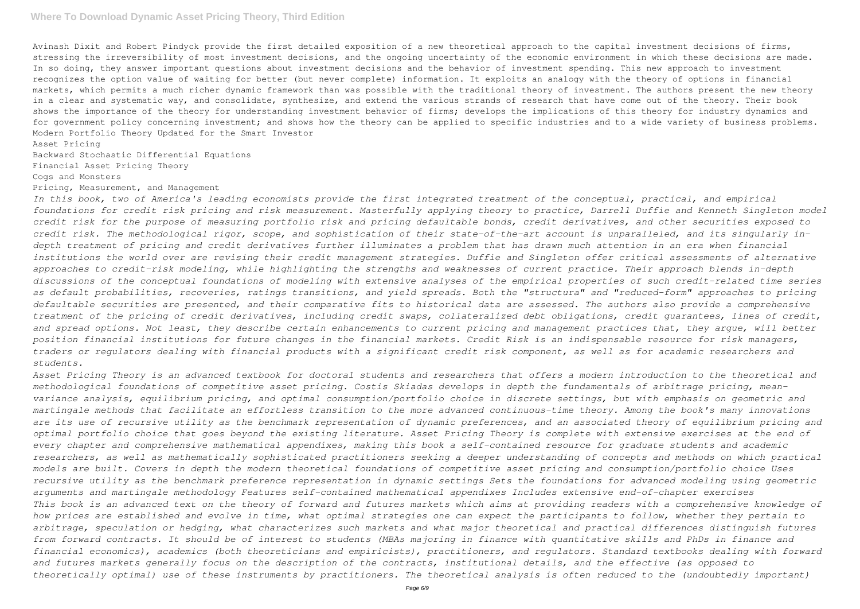### **Where To Download Dynamic Asset Pricing Theory, Third Edition**

Avinash Dixit and Robert Pindyck provide the first detailed exposition of a new theoretical approach to the capital investment decisions of firms, stressing the irreversibility of most investment decisions, and the ongoing uncertainty of the economic environment in which these decisions are made. In so doing, they answer important questions about investment decisions and the behavior of investment spending. This new approach to investment recognizes the option value of waiting for better (but never complete) information. It exploits an analogy with the theory of options in financial markets, which permits a much richer dynamic framework than was possible with the traditional theory of investment. The authors present the new theory in a clear and systematic way, and consolidate, synthesize, and extend the various strands of research that have come out of the theory. Their book shows the importance of the theory for understanding investment behavior of firms; develops the implications of this theory for industry dynamics and for government policy concerning investment; and shows how the theory can be applied to specific industries and to a wide variety of business problems. Modern Portfolio Theory Updated for the Smart Investor

Asset Pricing

Backward Stochastic Differential Equations

Financial Asset Pricing Theory

Cogs and Monsters

#### Pricing, Measurement, and Management

*In this book, two of America's leading economists provide the first integrated treatment of the conceptual, practical, and empirical foundations for credit risk pricing and risk measurement. Masterfully applying theory to practice, Darrell Duffie and Kenneth Singleton model credit risk for the purpose of measuring portfolio risk and pricing defaultable bonds, credit derivatives, and other securities exposed to credit risk. The methodological rigor, scope, and sophistication of their state-of-the-art account is unparalleled, and its singularly indepth treatment of pricing and credit derivatives further illuminates a problem that has drawn much attention in an era when financial institutions the world over are revising their credit management strategies. Duffie and Singleton offer critical assessments of alternative approaches to credit-risk modeling, while highlighting the strengths and weaknesses of current practice. Their approach blends in-depth discussions of the conceptual foundations of modeling with extensive analyses of the empirical properties of such credit-related time series as default probabilities, recoveries, ratings transitions, and yield spreads. Both the "structura" and "reduced-form" approaches to pricing defaultable securities are presented, and their comparative fits to historical data are assessed. The authors also provide a comprehensive treatment of the pricing of credit derivatives, including credit swaps, collateralized debt obligations, credit guarantees, lines of credit, and spread options. Not least, they describe certain enhancements to current pricing and management practices that, they argue, will better position financial institutions for future changes in the financial markets. Credit Risk is an indispensable resource for risk managers, traders or regulators dealing with financial products with a significant credit risk component, as well as for academic researchers and students.*

*Asset Pricing Theory is an advanced textbook for doctoral students and researchers that offers a modern introduction to the theoretical and methodological foundations of competitive asset pricing. Costis Skiadas develops in depth the fundamentals of arbitrage pricing, meanvariance analysis, equilibrium pricing, and optimal consumption/portfolio choice in discrete settings, but with emphasis on geometric and martingale methods that facilitate an effortless transition to the more advanced continuous-time theory. Among the book's many innovations are its use of recursive utility as the benchmark representation of dynamic preferences, and an associated theory of equilibrium pricing and optimal portfolio choice that goes beyond the existing literature. Asset Pricing Theory is complete with extensive exercises at the end of every chapter and comprehensive mathematical appendixes, making this book a self-contained resource for graduate students and academic researchers, as well as mathematically sophisticated practitioners seeking a deeper understanding of concepts and methods on which practical models are built. Covers in depth the modern theoretical foundations of competitive asset pricing and consumption/portfolio choice Uses recursive utility as the benchmark preference representation in dynamic settings Sets the foundations for advanced modeling using geometric arguments and martingale methodology Features self-contained mathematical appendixes Includes extensive end-of-chapter exercises This book is an advanced text on the theory of forward and futures markets which aims at providing readers with a comprehensive knowledge of how prices are established and evolve in time, what optimal strategies one can expect the participants to follow, whether they pertain to arbitrage, speculation or hedging, what characterizes such markets and what major theoretical and practical differences distinguish futures from forward contracts. It should be of interest to students (MBAs majoring in finance with quantitative skills and PhDs in finance and financial economics), academics (both theoreticians and empiricists), practitioners, and regulators. Standard textbooks dealing with forward and futures markets generally focus on the description of the contracts, institutional details, and the effective (as opposed to theoretically optimal) use of these instruments by practitioners. The theoretical analysis is often reduced to the (undoubtedly important)*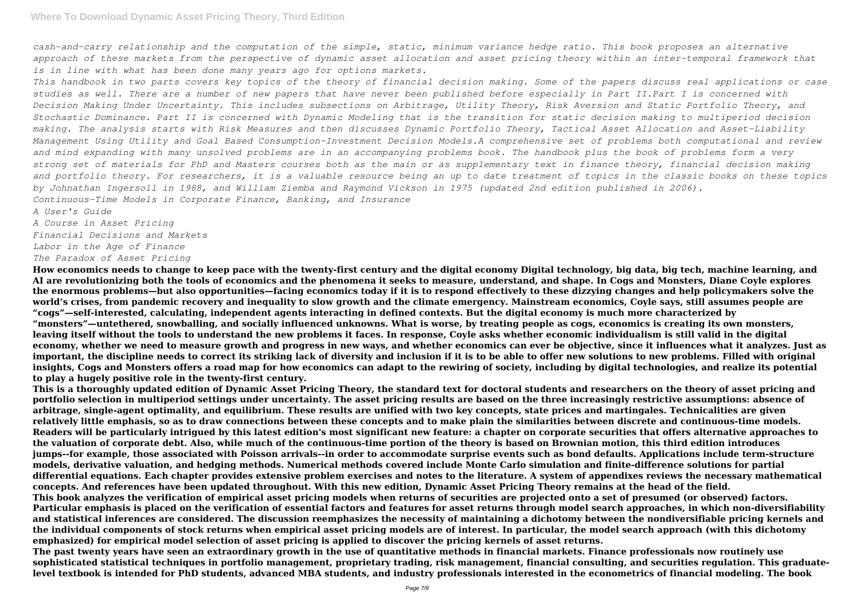*cash-and-carry relationship and the computation of the simple, static, minimum variance hedge ratio. This book proposes an alternative approach of these markets from the perspective of dynamic asset allocation and asset pricing theory within an inter-temporal framework that is in line with what has been done many years ago for options markets.*

*This handbook in two parts covers key topics of the theory of financial decision making. Some of the papers discuss real applications or case studies as well. There are a number of new papers that have never been published before especially in Part II.Part I is concerned with Decision Making Under Uncertainty. This includes subsections on Arbitrage, Utility Theory, Risk Aversion and Static Portfolio Theory, and Stochastic Dominance. Part II is concerned with Dynamic Modeling that is the transition for static decision making to multiperiod decision making. The analysis starts with Risk Measures and then discusses Dynamic Portfolio Theory, Tactical Asset Allocation and Asset-Liability Management Using Utility and Goal Based Consumption-Investment Decision Models.A comprehensive set of problems both computational and review and mind expanding with many unsolved problems are in an accompanying problems book. The handbook plus the book of problems form a very strong set of materials for PhD and Masters courses both as the main or as supplementary text in finance theory, financial decision making and portfolio theory. For researchers, it is a valuable resource being an up to date treatment of topics in the classic books on these topics by Johnathan Ingersoll in 1988, and William Ziemba and Raymond Vickson in 1975 (updated 2nd edition published in 2006). Continuous-Time Models in Corporate Finance, Banking, and Insurance*

*A User's Guide*

*A Course in Asset Pricing Financial Decisions and Markets Labor in the Age of Finance The Paradox of Asset Pricing*

**How economics needs to change to keep pace with the twenty-first century and the digital economy Digital technology, big data, big tech, machine learning, and AI are revolutionizing both the tools of economics and the phenomena it seeks to measure, understand, and shape. In Cogs and Monsters, Diane Coyle explores the enormous problems—but also opportunities—facing economics today if it is to respond effectively to these dizzying changes and help policymakers solve the world's crises, from pandemic recovery and inequality to slow growth and the climate emergency. Mainstream economics, Coyle says, still assumes people are "cogs"—self-interested, calculating, independent agents interacting in defined contexts. But the digital economy is much more characterized by "monsters"—untethered, snowballing, and socially influenced unknowns. What is worse, by treating people as cogs, economics is creating its own monsters, leaving itself without the tools to understand the new problems it faces. In response, Coyle asks whether economic individualism is still valid in the digital economy, whether we need to measure growth and progress in new ways, and whether economics can ever be objective, since it influences what it analyzes. Just as important, the discipline needs to correct its striking lack of diversity and inclusion if it is to be able to offer new solutions to new problems. Filled with original insights, Cogs and Monsters offers a road map for how economics can adapt to the rewiring of society, including by digital technologies, and realize its potential to play a hugely positive role in the twenty-first century.**

**This is a thoroughly updated edition of Dynamic Asset Pricing Theory, the standard text for doctoral students and researchers on the theory of asset pricing and portfolio selection in multiperiod settings under uncertainty. The asset pricing results are based on the three increasingly restrictive assumptions: absence of arbitrage, single-agent optimality, and equilibrium. These results are unified with two key concepts, state prices and martingales. Technicalities are given relatively little emphasis, so as to draw connections between these concepts and to make plain the similarities between discrete and continuous-time models. Readers will be particularly intrigued by this latest edition's most significant new feature: a chapter on corporate securities that offers alternative approaches to the valuation of corporate debt. Also, while much of the continuous-time portion of the theory is based on Brownian motion, this third edition introduces jumps--for example, those associated with Poisson arrivals--in order to accommodate surprise events such as bond defaults. Applications include term-structure models, derivative valuation, and hedging methods. Numerical methods covered include Monte Carlo simulation and finite-difference solutions for partial differential equations. Each chapter provides extensive problem exercises and notes to the literature. A system of appendixes reviews the necessary mathematical concepts. And references have been updated throughout. With this new edition, Dynamic Asset Pricing Theory remains at the head of the field. This book analyzes the verification of empirical asset pricing models when returns of securities are projected onto a set of presumed (or observed) factors. Particular emphasis is placed on the verification of essential factors and features for asset returns through model search approaches, in which non-diversifiability and statistical inferences are considered. The discussion reemphasizes the necessity of maintaining a dichotomy between the nondiversifiable pricing kernels and the individual components of stock returns when empirical asset pricing models are of interest. In particular, the model search approach (with this dichotomy emphasized) for empirical model selection of asset pricing is applied to discover the pricing kernels of asset returns.**

**The past twenty years have seen an extraordinary growth in the use of quantitative methods in financial markets. Finance professionals now routinely use sophisticated statistical techniques in portfolio management, proprietary trading, risk management, financial consulting, and securities regulation. This graduatelevel textbook is intended for PhD students, advanced MBA students, and industry professionals interested in the econometrics of financial modeling. The book**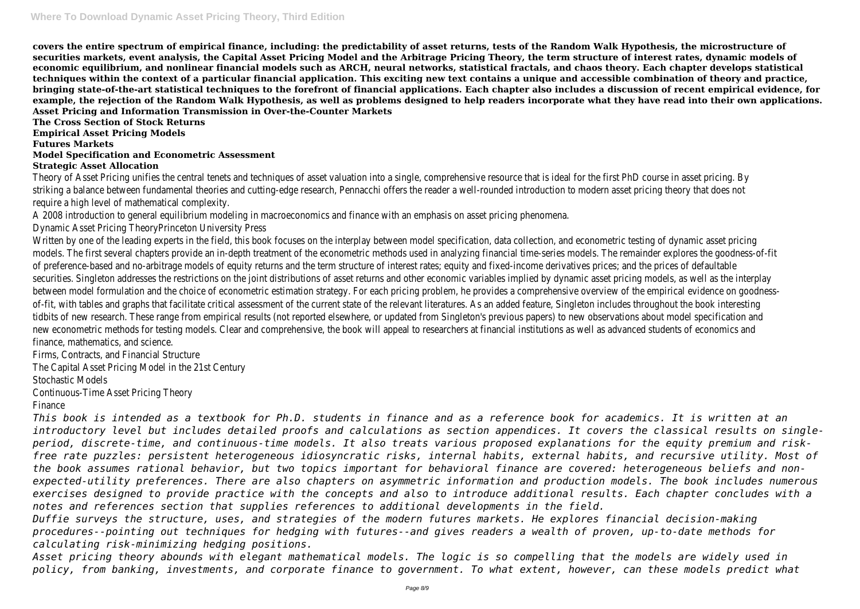**covers the entire spectrum of empirical finance, including: the predictability of asset returns, tests of the Random Walk Hypothesis, the microstructure of securities markets, event analysis, the Capital Asset Pricing Model and the Arbitrage Pricing Theory, the term structure of interest rates, dynamic models of economic equilibrium, and nonlinear financial models such as ARCH, neural networks, statistical fractals, and chaos theory. Each chapter develops statistical techniques within the context of a particular financial application. This exciting new text contains a unique and accessible combination of theory and practice, bringing state-of-the-art statistical techniques to the forefront of financial applications. Each chapter also includes a discussion of recent empirical evidence, for example, the rejection of the Random Walk Hypothesis, as well as problems designed to help readers incorporate what they have read into their own applications. Asset Pricing and Information Transmission in Over-the-Counter Markets**

## **The Cross Section of Stock Returns Empirical Asset Pricing Models Futures Markets Model Specification and Econometric Assessment Strategic Asset Allocation**

Theory of Asset Pricing unifies the central tenets and techniques of asset valuation into a single, comprehensive resource that is ideal for the first PhD course in asset pricing. By striking a balance between fundamental theories and cutting-edge research, Pennacchi offers the reader a well-rounded introduction to modern asset pricing theory that does not require a high level of mathematical complexity.

A 2008 introduction to general equilibrium modeling in macroeconomics and finance with an emphasis on asset pricing phenomena.

Dynamic Asset Pricing TheoryPrinceton University Press

Written by one of the leading experts in the field, this book focuses on the interplay between model specification, data collection, and econometric testing of dynamic asset pricing models. The first several chapters provide an in-depth treatment of the econometric methods used in analyzing financial time-series models. The remainder explores the goodness-of-fit of preference-based and no-arbitrage models of equity returns and the term structure of interest rates; equity and fixed-income derivatives prices; and the prices of defaultable securities. Singleton addresses the restrictions on the joint distributions of asset returns and other economic variables implied by dynamic asset pricing models, as well as the interplay between model formulation and the choice of econometric estimation strategy. For each pricing problem, he provides a comprehensive overview of the empirical evidence on goodnessof-fit, with tables and graphs that facilitate critical assessment of the current state of the relevant literatures. As an added feature, Singleton includes throughout the book interesting tidbits of new research. These range from empirical results (not reported elsewhere, or updated from Singleton's previous papers) to new observations about model specification and new econometric methods for testing models. Clear and comprehensive, the book will appeal to researchers at financial institutions as well as advanced students of economics and finance, mathematics, and science.

Firms, Contracts, and Financial Structure

The Capital Asset Pricing Model in the 21st Century

Stochastic Models

Continuous-Time Asset Pricing Theory

Finance

*This book is intended as a textbook for Ph.D. students in finance and as a reference book for academics. It is written at an introductory level but includes detailed proofs and calculations as section appendices. It covers the classical results on singleperiod, discrete-time, and continuous-time models. It also treats various proposed explanations for the equity premium and riskfree rate puzzles: persistent heterogeneous idiosyncratic risks, internal habits, external habits, and recursive utility. Most of the book assumes rational behavior, but two topics important for behavioral finance are covered: heterogeneous beliefs and nonexpected-utility preferences. There are also chapters on asymmetric information and production models. The book includes numerous exercises designed to provide practice with the concepts and also to introduce additional results. Each chapter concludes with a notes and references section that supplies references to additional developments in the field.*

*Duffie surveys the structure, uses, and strategies of the modern futures markets. He explores financial decision-making procedures--pointing out techniques for hedging with futures--and gives readers a wealth of proven, up-to-date methods for calculating risk-minimizing hedging positions.*

*Asset pricing theory abounds with elegant mathematical models. The logic is so compelling that the models are widely used in policy, from banking, investments, and corporate finance to government. To what extent, however, can these models predict what*